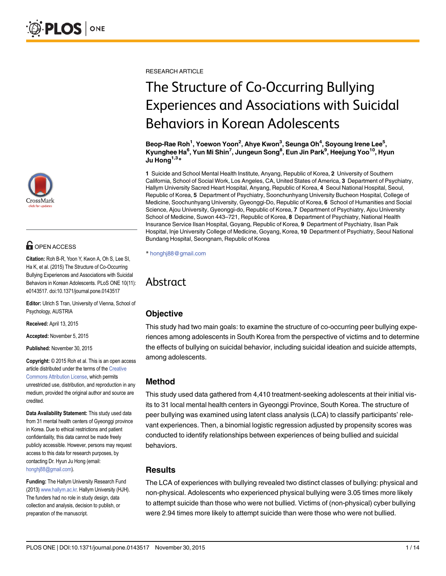

# **G** OPEN ACCESS

Citation: Roh B-R, Yoon Y, Kwon A, Oh S, Lee SI, Ha K, et al. (2015) The Structure of Co-Occurring Bullying Experiences and Associations with Suicidal Behaviors in Korean Adolescents. PLoS ONE 10(11): e0143517. doi:10.1371/journal.pone.0143517

Editor: Ulrich S Tran, University of Vienna, School of Psychology, AUSTRIA

Received: April 13, 2015

Accepted: November 5, 2015

Published: November 30, 2015

Copyright: © 2015 Roh et al. This is an open access article distributed under the terms of the [Creative](http://creativecommons.org/licenses/by/4.0/) [Commons Attribution License](http://creativecommons.org/licenses/by/4.0/), which permits unrestricted use, distribution, and reproduction in any medium, provided the original author and source are credited.

Data Availability Statement: This study used data from 31 mental health centers of Gyeonggi province in Korea. Due to ethical restrictions and patient confidentiality, this data cannot be made freely publicly accessible. However, persons may request access to this data for research purposes, by contacting Dr. Hyun Ju Hong (email: honghj88@gmail.com).

Funding: The Hallym University Research Fund (2013) [www.hallym.ac.kr.](http://www.hallym.ac.kr) Hallym University (HJH). The funders had no role in study design, data collection and analysis, decision to publish, or preparation of the manuscript.

RESEARCH ARTICLE

# The Structure of Co-Occurring Bullying Experiences and Associations with Suicidal Behaviors in Korean Adolescents

Beop-Rae Roh<sup>1</sup>, Yoewon Yoon<sup>2</sup>, Ahye Kwon<sup>3</sup>, Seunga Oh<sup>4</sup>, Soyoung Irene Lee<sup>5</sup>, Kyunghee Ha<sup>6</sup>, Yun Mi Shin<sup>7</sup>, Jungeun Song<sup>8</sup>, Eun Jin Park<sup>9</sup>, Heejung Yoo<sup>10</sup>, Hyun Ju Hong $1,3*$ 

1 Suicide and School Mental Health Institute, Anyang, Republic of Korea, 2 University of Southern California, School of Social Work, Los Angeles, CA, United States of America, 3 Department of Psychiatry, Hallym University Sacred Heart Hospital, Anyang, Republic of Korea, 4 Seoul National Hospital, Seoul, Republic of Korea, 5 Department of Psychiatry, Soonchunhyang University Bucheon Hospital, College of Medicine, Soochunhyang University, Gyeonggi-Do, Republic of Korea, 6 School of Humanities and Social Science, Ajou University, Gyeonggi-do, Republic of Korea, 7 Department of Psychiatry, Ajou University School of Medicine, Suwon 443–721, Republic of Korea, 8 Department of Psychiatry, National Health Insurance Service Ilsan Hospital, Goyang, Republic of Korea, 9 Department of Psychiatry, Ilsan Paik Hospital, Inje University College of Medicine, Goyang, Korea, 10 Department of Psychiatry, Seoul National Bundang Hospital, Seongnam, Republic of Korea

\* honghj88@gmail.com

# Abstract

#### **Objective**

This study had two main goals: to examine the structure of co-occurring peer bullying experiences among adolescents in South Korea from the perspective of victims and to determine the effects of bullying on suicidal behavior, including suicidal ideation and suicide attempts, among adolescents.

#### Method

This study used data gathered from 4,410 treatment-seeking adolescents at their initial visits to 31 local mental health centers in Gyeonggi Province, South Korea. The structure of peer bullying was examined using latent class analysis (LCA) to classify participants' relevant experiences. Then, a binomial logistic regression adjusted by propensity scores was conducted to identify relationships between experiences of being bullied and suicidal behaviors.

#### Results

The LCA of experiences with bullying revealed two distinct classes of bullying: physical and non-physical. Adolescents who experienced physical bullying were 3.05 times more likely to attempt suicide than those who were not bullied. Victims of (non-physical) cyber bullying were 2.94 times more likely to attempt suicide than were those who were not bullied.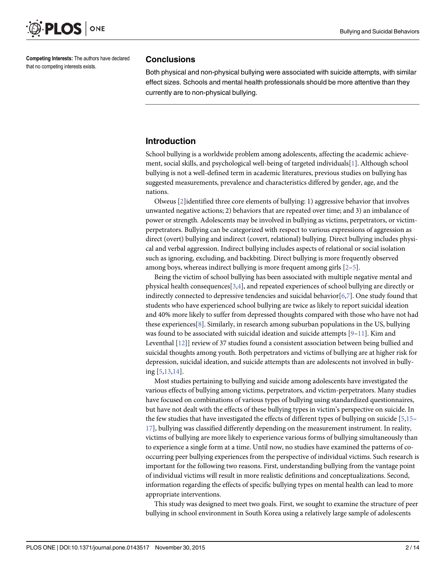<span id="page-1-0"></span>

Competing Interests: The authors have declared that no competing interests exists.

#### **Conclusions**

Both physical and non-physical bullying were associated with suicide attempts, with similar effect sizes. Schools and mental health professionals should be more attentive than they currently are to non-physical bullying.

#### Introduction

School bullying is a worldwide problem among adolescents, affecting the academic achievement, social skills, and psychological well-being of targeted individuals[\[1](#page-11-0)]. Although school bullying is not a well-defined term in academic literatures, previous studies on bullying has suggested measurements, prevalence and characteristics differed by gender, age, and the nations.

Olweus [\[2](#page-11-0)]identified three core elements of bullying: 1) aggressive behavior that involves unwanted negative actions; 2) behaviors that are repeated over time; and 3) an imbalance of power or strength. Adolescents may be involved in bullying as victims, perpetrators, or victimperpetrators. Bullying can be categorized with respect to various expressions of aggression as direct (overt) bullying and indirect (covert, relational) bullying. Direct bullying includes physical and verbal aggression. Indirect bullying includes aspects of relational or social isolation such as ignoring, excluding, and backbiting. Direct bullying is more frequently observed among boys, whereas indirect bullying is more frequent among girls  $[2-5]$  $[2-5]$  $[2-5]$ .

Being the victim of school bullying has been associated with multiple negative mental and physical health consequences[\[3,4](#page-11-0)], and repeated experiences of school bullying are directly or indirectly connected to depressive tendencies and suicidal behavior  $[6,7]$  $[6,7]$ . One study found that students who have experienced school bullying are twice as likely to report suicidal ideation and 40% more likely to suffer from depressed thoughts compared with those who have not had these experiences[\[8\]](#page-11-0). Similarly, in research among suburban populations in the US, bullying was found to be associated with suicidal ideation and suicide attempts [\[9](#page-11-0)–[11\]](#page-11-0). Kim and Leventhal [[12](#page-11-0)]] review of 37 studies found a consistent association between being bullied and suicidal thoughts among youth. Both perpetrators and victims of bullying are at higher risk for depression, suicidal ideation, and suicide attempts than are adolescents not involved in bullying [\[5,13,14\]](#page-11-0).

Most studies pertaining to bullying and suicide among adolescents have investigated the various effects of bullying among victims, perpetrators, and victim-perpetrators. Many studies have focused on combinations of various types of bullying using standardized questionnaires, but have not dealt with the effects of these bullying types in victim's perspective on suicide. In the few studies that have investigated the effects of different types of bullying on suicide  $[5,15 [5,15 [5,15 [5,15 [5,15 17$ ], bullying was classified differently depending on the measurement instrument. In reality, victims of bullying are more likely to experience various forms of bullying simultaneously than to experience a single form at a time. Until now, no studies have examined the patterns of cooccurring peer bullying experiences from the perspective of individual victims. Such research is important for the following two reasons. First, understanding bullying from the vantage point of individual victims will result in more realistic definitions and conceptualizations. Second, information regarding the effects of specific bullying types on mental health can lead to more appropriate interventions.

This study was designed to meet two goals. First, we sought to examine the structure of peer bullying in school environment in South Korea using a relatively large sample of adolescents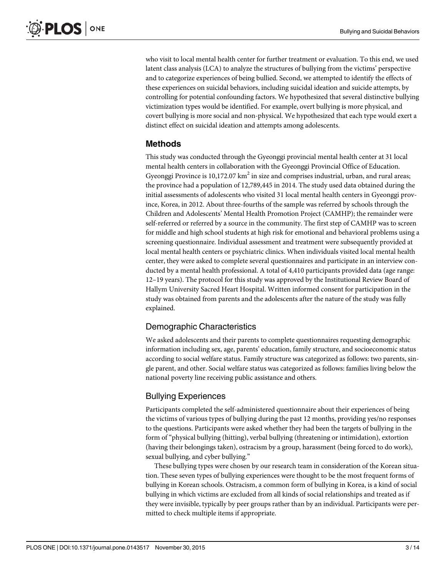who visit to local mental health center for further treatment or evaluation. To this end, we used latent class analysis (LCA) to analyze the structures of bullying from the victims' perspective and to categorize experiences of being bullied. Second, we attempted to identify the effects of these experiences on suicidal behaviors, including suicidal ideation and suicide attempts, by controlling for potential confounding factors. We hypothesized that several distinctive bullying victimization types would be identified. For example, overt bullying is more physical, and covert bullying is more social and non-physical. We hypothesized that each type would exert a distinct effect on suicidal ideation and attempts among adolescents.

## Methods

This study was conducted through the Gyeonggi provincial mental health center at 31 local mental health centers in collaboration with the Gyeonggi Provincial Office of Education. Gyeonggi Province is 10,172.07  $km^2$  in size and comprises industrial, urban, and rural areas; the province had a population of 12,789,445 in 2014. The study used data obtained during the initial assessments of adolescents who visited 31 local mental health centers in Gyeonggi province, Korea, in 2012. About three-fourths of the sample was referred by schools through the Children and Adolescents' Mental Health Promotion Project (CAMHP); the remainder were self-referred or referred by a source in the community. The first step of CAMHP was to screen for middle and high school students at high risk for emotional and behavioral problems using a screening questionnaire. Individual assessment and treatment were subsequently provided at local mental health centers or psychiatric clinics. When individuals visited local mental health center, they were asked to complete several questionnaires and participate in an interview conducted by a mental health professional. A total of 4,410 participants provided data (age range: 12–19 years). The protocol for this study was approved by the Institutional Review Board of Hallym University Sacred Heart Hospital. Written informed consent for participation in the study was obtained from parents and the adolescents after the nature of the study was fully explained.

## Demographic Characteristics

We asked adolescents and their parents to complete questionnaires requesting demographic information including sex, age, parents' education, family structure, and socioeconomic status according to social welfare status. Family structure was categorized as follows: two parents, single parent, and other. Social welfare status was categorized as follows: families living below the national poverty line receiving public assistance and others.

#### Bullying Experiences

Participants completed the self-administered questionnaire about their experiences of being the victims of various types of bullying during the past 12 months, providing yes/no responses to the questions. Participants were asked whether they had been the targets of bullying in the form of "physical bullying (hitting), verbal bullying (threatening or intimidation), extortion (having their belongings taken), ostracism by a group, harassment (being forced to do work), sexual bullying, and cyber bullying."

These bullying types were chosen by our research team in consideration of the Korean situation. These seven types of bullying experiences were thought to be the most frequent forms of bullying in Korean schools. Ostracism, a common form of bullying in Korea, is a kind of social bullying in which victims are excluded from all kinds of social relationships and treated as if they were invisible, typically by peer groups rather than by an individual. Participants were permitted to check multiple items if appropriate.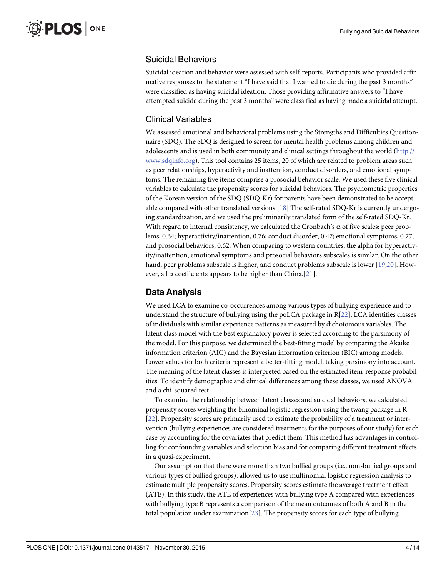#### <span id="page-3-0"></span>Suicidal Behaviors

Suicidal ideation and behavior were assessed with self-reports. Participants who provided affirmative responses to the statement "I have said that I wanted to die during the past 3 months" were classified as having suicidal ideation. Those providing affirmative answers to "I have attempted suicide during the past 3 months" were classified as having made a suicidal attempt.

#### Clinical Variables

We assessed emotional and behavioral problems using the Strengths and Difficulties Questionnaire (SDQ). The SDQ is designed to screen for mental health problems among children and adolescents and is used in both community and clinical settings throughout the world [\(http://](http://www.sdqinfo.org/) [www.sdqinfo.org\)](http://www.sdqinfo.org/). This tool contains 25 items, 20 of which are related to problem areas such as peer relationships, hyperactivity and inattention, conduct disorders, and emotional symptoms. The remaining five items comprise a prosocial behavior scale. We used these five clinical variables to calculate the propensity scores for suicidal behaviors. The psychometric properties of the Korean version of the SDQ (SDQ-Kr) for parents have been demonstrated to be acceptable compared with other translated versions.[[18](#page-12-0)] The self-rated SDQ-Kr is currently undergoing standardization, and we used the preliminarily translated form of the self-rated SDQ-Kr. With regard to internal consistency, we calculated the Cronbach's α of five scales: peer problems, 0.64; hyperactivity/inattention, 0.76; conduct disorder, 0.47; emotional symptoms, 0.77; and prosocial behaviors, 0.62. When comparing to western countries, the alpha for hyperactivity/inattention, emotional symptoms and prosocial behaviors subscales is similar. On the other hand, peer problems subscale is higher, and conduct problems subscale is lower [\[19,20\]](#page-12-0). However, all  $\alpha$  coefficients appears to be higher than China.[\[21\]](#page-12-0).

#### Data Analysis

We used LCA to examine co-occurrences among various types of bullying experience and to understand the structure of bullying using the poLCA package in  $R[22]$  $R[22]$ . LCA identifies classes of individuals with similar experience patterns as measured by dichotomous variables. The latent class model with the best explanatory power is selected according to the parsimony of the model. For this purpose, we determined the best-fitting model by comparing the Akaike information criterion (AIC) and the Bayesian information criterion (BIC) among models. Lower values for both criteria represent a better-fitting model, taking parsimony into account. The meaning of the latent classes is interpreted based on the estimated item-response probabilities. To identify demographic and clinical differences among these classes, we used ANOVA and a chi-squared test.

To examine the relationship between latent classes and suicidal behaviors, we calculated propensity scores weighting the binominal logistic regression using the twang package in R [\[22](#page-12-0)]. Propensity scores are primarily used to estimate the probability of a treatment or intervention (bullying experiences are considered treatments for the purposes of our study) for each case by accounting for the covariates that predict them. This method has advantages in controlling for confounding variables and selection bias and for comparing different treatment effects in a quasi-experiment.

Our assumption that there were more than two bullied groups (i.e., non-bullied groups and various types of bullied groups), allowed us to use multinomial logistic regression analysis to estimate multiple propensity scores. Propensity scores estimate the average treatment effect (ATE). In this study, the ATE of experiences with bullying type A compared with experiences with bullying type B represents a comparison of the mean outcomes of both A and B in the total population under examination[ $23$ ]. The propensity scores for each type of bullying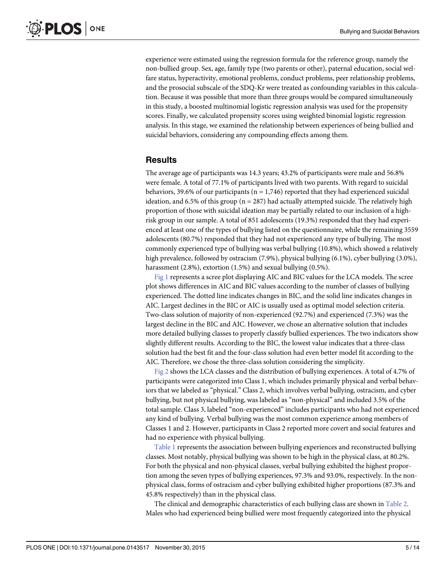<span id="page-4-0"></span>experience were estimated using the regression formula for the reference group, namely the non-bullied group. Sex, age, family type (two parents or other), paternal education, social welfare status, hyperactivity, emotional problems, conduct problems, peer relationship problems, and the prosocial subscale of the SDQ-Kr were treated as confounding variables in this calculation. Because it was possible that more than three groups would be compared simultaneously in this study, a boosted multinomial logistic regression analysis was used for the propensity scores. Finally, we calculated propensity scores using weighted binomial logistic regression analysis. In this stage, we examined the relationship between experiences of being bullied and suicidal behaviors, considering any compounding effects among them.

#### **Results**

The average age of participants was 14.3 years; 43.2% of participants were male and 56.8% were female. A total of 77.1% of participants lived with two parents. With regard to suicidal behaviors, 39.6% of our participants ( $n = 1,746$ ) reported that they had experienced suicidal ideation, and 6.5% of this group ( $n = 287$ ) had actually attempted suicide. The relatively high proportion of those with suicidal ideation may be partially related to our inclusion of a highrisk group in our sample. A total of 851 adolescents (19.3%) responded that they had experienced at least one of the types of bullying listed on the questionnaire, while the remaining 3559 adolescents (80.7%) responded that they had not experienced any type of bullying. The most commonly experienced type of bullying was verbal bullying (10.8%), which showed a relatively high prevalence, followed by ostracism (7.9%), physical bullying (6.1%), cyber bullying (3.0%), harassment (2.8%), extortion (1.5%) and sexual bullying (0.5%).

[Fig 1](#page-5-0) represents a scree plot displaying AIC and BIC values for the LCA models. The scree plot shows differences in AIC and BIC values according to the number of classes of bullying experienced. The dotted line indicates changes in BIC, and the solid line indicates changes in AIC. Largest declines in the BIC or AIC is usually used as optimal model selection criteria. Two-class solution of majority of non-experienced (92.7%) and experienced (7.3%) was the largest decline in the BIC and AIC. However, we chose an alternative solution that includes more detailed bullying classes to properly classify bullied experiences. The two indicators show slightly different results. According to the BIC, the lowest value indicates that a three-class solution had the best fit and the four-class solution had even better model fit according to the AIC. Therefore, we chose the three-class solution considering the simplicity.

[Fig 2](#page-6-0) shows the LCA classes and the distribution of bullying experiences. A total of 4.7% of participants were categorized into Class 1, which includes primarily physical and verbal behaviors that we labeled as "physical." Class 2, which involves verbal bullying, ostracism, and cyber bullying, but not physical bullying, was labeled as "non-physical" and included 3.5% of the total sample. Class 3, labeled "non-experienced" includes participants who had not experienced any kind of bullying. Verbal bullying was the most common experience among members of Classes 1 and 2. However, participants in Class 2 reported more covert and social features and had no experience with physical bullying.

[Table 1](#page-6-0) represents the association between bullying experiences and reconstructed bullying classes. Most notably, physical bullying was shown to be high in the physical class, at 80.2%. For both the physical and non-physical classes, verbal bullying exhibited the highest proportion among the seven types of bullying experiences, 97.3% and 93.0%, respectively. In the nonphysical class, forms of ostracism and cyber bullying exhibited higher proportions (87.3% and 45.8% respectively) than in the physical class.

The clinical and demographic characteristics of each bullying class are shown in [Table 2.](#page-7-0) Males who had experienced being bullied were most frequently categorized into the physical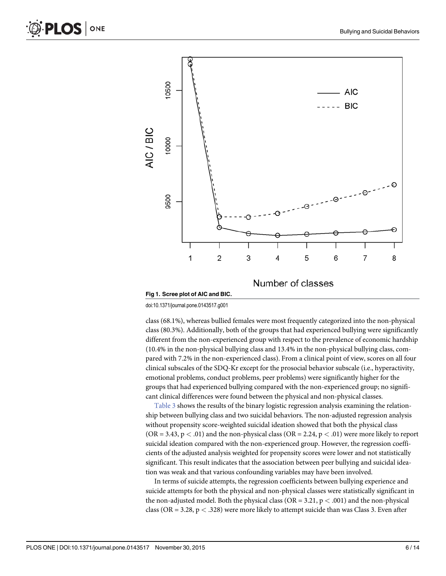<span id="page-5-0"></span>

doi:10.1371/journal.pone.0143517.g001

class (68.1%), whereas bullied females were most frequently categorized into the non-physical class (80.3%). Additionally, both of the groups that had experienced bullying were significantly different from the non-experienced group with respect to the prevalence of economic hardship (10.4% in the non-physical bullying class and 13.4% in the non-physical bullying class, compared with 7.2% in the non-experienced class). From a clinical point of view, scores on all four clinical subscales of the SDQ-Kr except for the prosocial behavior subscale (i.e., hyperactivity, emotional problems, conduct problems, peer problems) were significantly higher for the groups that had experienced bullying compared with the non-experienced group; no significant clinical differences were found between the physical and non-physical classes.

[Table 3](#page-7-0) shows the results of the binary logistic regression analysis examining the relationship between bullying class and two suicidal behaviors. The non-adjusted regression analysis without propensity score-weighted suicidal ideation showed that both the physical class  $(OR = 3.43, p < .01)$  and the non-physical class  $(OR = 2.24, p < .01)$  were more likely to report suicidal ideation compared with the non-experienced group. However, the regression coefficients of the adjusted analysis weighted for propensity scores were lower and not statistically significant. This result indicates that the association between peer bullying and suicidal ideation was weak and that various confounding variables may have been involved.

In terms of suicide attempts, the regression coefficients between bullying experience and suicide attempts for both the physical and non-physical classes were statistically significant in the non-adjusted model. Both the physical class (OR = 3.21,  $p < .001$ ) and the non-physical class (OR = 3.28,  $p < .328$ ) were more likely to attempt suicide than was Class 3. Even after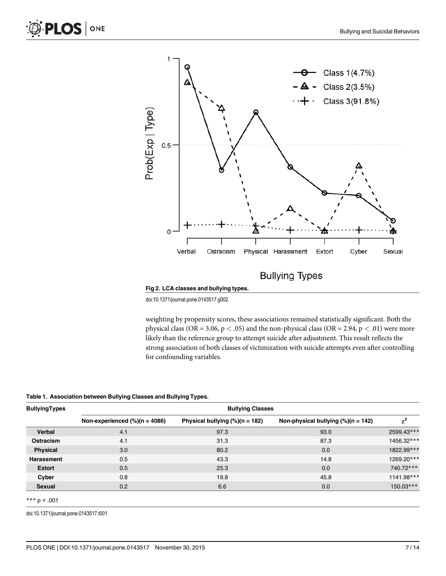<span id="page-6-0"></span>



doi:10.1371/journal.pone.0143517.g002

weighting by propensity scores, these associations remained statistically significant. Both the physical class (OR = 3.06,  $p < .05$ ) and the non-physical class (OR = 2.94,  $p < .01$ ) were more likely than the reference group to attempt suicide after adjustment. This result reflects the strong association of both classes of victimization with suicide attempts even after controlling for confounding variables.

#### [Table 1.](#page-4-0) Association between Bullying Classes and Bullying Types.

| <b>BullyingTypes</b> | <b>Bullying Classes</b>           |                                  |                                      |             |  |  |  |
|----------------------|-----------------------------------|----------------------------------|--------------------------------------|-------------|--|--|--|
|                      | Non-experienced $(\%)$ (n = 4086) | Physical bullying $%$ )(n = 182) | Non-physical bullying $%$ )(n = 142) | $\chi^2$    |  |  |  |
| Verbal               | 4.1                               | 97.3                             | 93.0                                 | 2599.43***  |  |  |  |
| Ostracism            | 4.1                               | 31.3                             | 87.3                                 | 1456.32***  |  |  |  |
| <b>Physical</b>      | 3.0                               | 80.2                             | 0.0                                  | 1822.99***  |  |  |  |
| <b>Harassment</b>    | 0.5                               | 43.3                             | 14.8                                 | 1269.20***  |  |  |  |
| <b>Extort</b>        | 0.5                               | 25.3                             | 0.0                                  | 740.72***   |  |  |  |
| Cyber                | 0.8                               | 19.8                             | 45.8                                 | 1141.98***  |  |  |  |
| <b>Sexual</b>        | 0.2                               | 6.6                              | 0.0                                  | $150.03***$ |  |  |  |
| *** $p < .001$       |                                   |                                  |                                      |             |  |  |  |

doi:10.1371/journal.pone.0143517.t001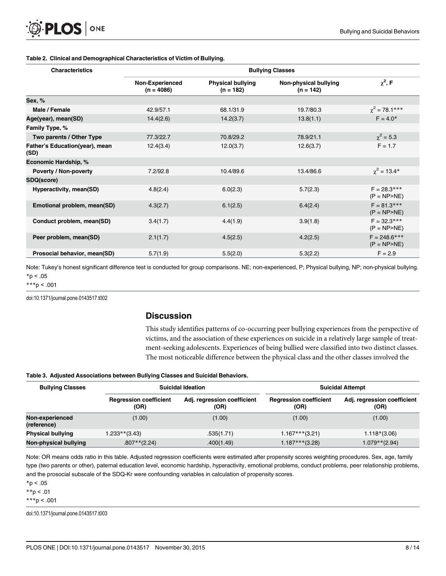#### <span id="page-7-0"></span>[Table 2.](#page-4-0) Clinical and Demographical Characteristics of Victim of Bullying.

| <b>Characteristics</b>                 | <b>Bullying Classes</b>         |                                         |                                      |                                   |
|----------------------------------------|---------------------------------|-----------------------------------------|--------------------------------------|-----------------------------------|
|                                        | Non-Experienced<br>$(n = 4086)$ | <b>Physical bullying</b><br>$(n = 182)$ | Non-physical bullying<br>$(n = 142)$ | $\chi^2$ , F                      |
| Sex, %                                 |                                 |                                         |                                      |                                   |
| Male / Female                          | 42.9/57.1                       | 68.1/31.9                               | 19.7/80.3                            | $\gamma^2$ = 78.1***              |
| Age(year), mean(SD)                    | 14.4(2.6)                       | 14.2(3.7)                               | 13.8(1.1)                            | $F = 4.0*$                        |
| Family Type, %                         |                                 |                                         |                                      |                                   |
| Two parents / Other Type               | 77.3/22.7                       | 70.8/29.2                               | 78.9/21.1                            | $\chi^2 = 5.3$                    |
| Father's Education(year), mean<br>(SD) | 12.4(3.4)                       | 12.0(3.7)                               | 12.6(3.7)                            | $F = 1.7$                         |
| Economic Hardship, %                   |                                 |                                         |                                      |                                   |
| <b>Poverty / Non-poverty</b>           | 7.2/92.8                        | 10.4/89.6                               | 13.4/86.6                            | $\gamma^2 = 13.4^*$               |
| SDQ(score)                             |                                 |                                         |                                      |                                   |
| Hyperactivity, mean(SD)                | 4.8(2.4)                        | 6.0(2.3)                                | 5.7(2.3)                             | $F = 28.3***$<br>$(P = NP > NE)$  |
| Emotional problem, mean(SD)            | 4.3(2.7)                        | 6.1(2.5)                                | 6.4(2.4)                             | $F = 81.3***$<br>$(P = NP > NE)$  |
| Conduct problem, mean(SD)              | 3.4(1.7)                        | 4.4(1.9)                                | 3.9(1.8)                             | $F = 32.3***$<br>$(P = NP > NE)$  |
| Peer problem, mean(SD)                 | 2.1(1.7)                        | 4.5(2.5)                                | 4.2(2.5)                             | $F = 248.6***$<br>$(P = NP > NE)$ |
| Prosocial behavior, mean(SD)           | 5.7(1.9)                        | 5.5(2.0)                                | 5.3(2.2)                             | $F = 2.9$                         |

Note: Tukey's honest significant difference test is conducted for group comparisons. NE; non-experienced, P; Physical bullying, NP; non-physical bullying.  $*_{p}$  < .05

 $***p < .001$ 

doi:10.1371/journal.pone.0143517.t002

#### **Discussion**

This study identifies patterns of co-occurring peer bullying experiences from the perspective of victims, and the association of these experiences on suicide in a relatively large sample of treatment-seeking adolescents. Experiences of being bullied were classified into two distinct classes. The most noticeable difference between the physical class and the other classes involved the

#### [Table 3.](#page-5-0) Adjusted Associations between Bullying Classes and Suicidal Behaviors.

| <b>Bullying Classes</b>        | <b>Suicidal Ideation</b>              |                                     | <b>Suicidal Attempt</b>               |                                     |
|--------------------------------|---------------------------------------|-------------------------------------|---------------------------------------|-------------------------------------|
|                                | <b>Regression coefficient</b><br>(OR) | Adj. regression coefficient<br>(OR) | <b>Regression coefficient</b><br>(OR) | Adj. regression coefficient<br>(OR) |
| Non-experienced<br>(reference) | (1.00)                                | (1.00)                              | (1.00)                                | (1.00)                              |
| <b>Physical bullying</b>       | 1.233**(3.43)                         | .535(1.71)                          | $1.167***$ (3.21)                     | $1.118*(3.06)$                      |
| Non-physical bullying          | $.807**$ (2.24)                       | .400(1.49)                          | 1.187***(3.28)                        | $1.079**$ (2.94)                    |

Note: OR means odds ratio in this table. Adjusted regression coefficients were estimated after propensity scores weighting procedures. Sex, age, family type (two parents or other), paternal education level, economic hardship, hyperactivity, emotional problems, conduct problems, peer relationship problems, and the prosocial subscale of the SDQ-Kr were confounding variables in calculation of propensity scores.

 $*_{p}$  < .05

 $*$ <sub>\*</sub> $p$  < .01

 $***p < .001$ 

doi:10.1371/journal.pone.0143517.t003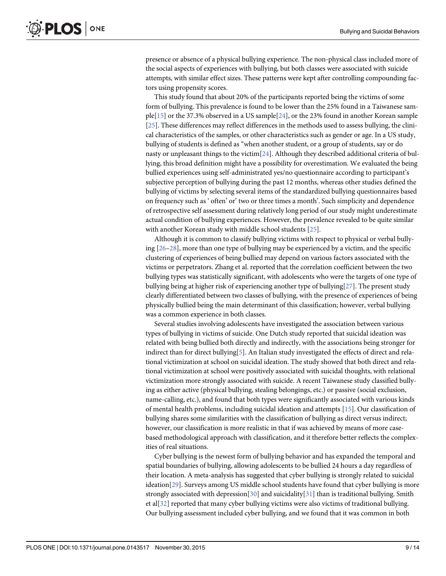<span id="page-8-0"></span>presence or absence of a physical bullying experience. The non-physical class included more of the social aspects of experiences with bullying, but both classes were associated with suicide attempts, with similar effect sizes. These patterns were kept after controlling compounding factors using propensity scores.

This study found that about 20% of the participants reported being the victims of some form of bullying. This prevalence is found to be lower than the 25% found in a Taiwanese sample $[15]$  or the 37.3% observed in a US sample $[24]$  $[24]$  $[24]$ , or the 23% found in another Korean sample [\[25](#page-12-0)]. These differences may reflect differences in the methods used to assess bullying, the clinical characteristics of the samples, or other characteristics such as gender or age. In a US study, bullying of students is defined as "when another student, or a group of students, say or do nasty or unpleasant things to the victim[[24\]](#page-12-0). Although they described additional criteria of bullying, this broad definition might have a possibility for overestimation. We evaluated the being bullied experiences using self-administrated yes/no questionnaire according to participant's subjective perception of bullying during the past 12 months, whereas other studies defined the bullying of victims by selecting several items of the standardized bullying questionnaires based on frequency such as ' often' or' two or three times a month'. Such simplicity and dependence of retrospective self assessment during relatively long period of our study might underestimate actual condition of bullying experiences. However, the prevalence revealed to be quite similar with another Korean study with middle school students [\[25\]](#page-12-0).

Although it is common to classify bullying victims with respect to physical or verbal bullying  $[26-28]$  $[26-28]$  $[26-28]$ , more than one type of bullying may be experienced by a victim, and the specific clustering of experiences of being bullied may depend on various factors associated with the victims or perpetrators. Zhang et al. reported that the correlation coefficient between the two bullying types was statistically significant, with adolescents who were the targets of one type of bullying being at higher risk of experiencing another type of bullying[[27](#page-12-0)]. The present study clearly differentiated between two classes of bullying, with the presence of experiences of being physically bullied being the main determinant of this classification; however, verbal bullying was a common experience in both classes.

Several studies involving adolescents have investigated the association between various types of bullying in victims of suicide. One Dutch study reported that suicidal ideation was related with being bullied both directly and indirectly, with the associations being stronger for indirect than for direct bullying $[5]$  $[5]$ . An Italian study investigated the effects of direct and relational victimization at school on suicidal ideation. The study showed that both direct and relational victimization at school were positively associated with suicidal thoughts, with relational victimization more strongly associated with suicide. A recent Taiwanese study classified bullying as either active (physical bullying, stealing belongings, etc.) or passive (social exclusion, name-calling, etc.), and found that both types were significantly associated with various kinds of mental health problems, including suicidal ideation and attempts [\[15\]](#page-12-0). Our classification of bullying shares some similarities with the classification of bullying as direct versus indirect; however, our classification is more realistic in that if was achieved by means of more casebased methodological approach with classification, and it therefore better reflects the complexities of real situations.

Cyber bullying is the newest form of bullying behavior and has expanded the temporal and spatial boundaries of bullying, allowing adolescents to be bullied 24 hours a day regardless of their location. A meta-analysis has suggested that cyber bullying is strongly related to suicidal ideation[[29](#page-12-0)]. Surveys among US middle school students have found that cyber bullying is more strongly associated with depression[\[30\]](#page-12-0) and suicidality[[31](#page-12-0)] than is traditional bullying. Smith et al[[32](#page-12-0)] reported that many cyber bullying victims were also victims of traditional bullying. Our bullying assessment included cyber bullying, and we found that it was common in both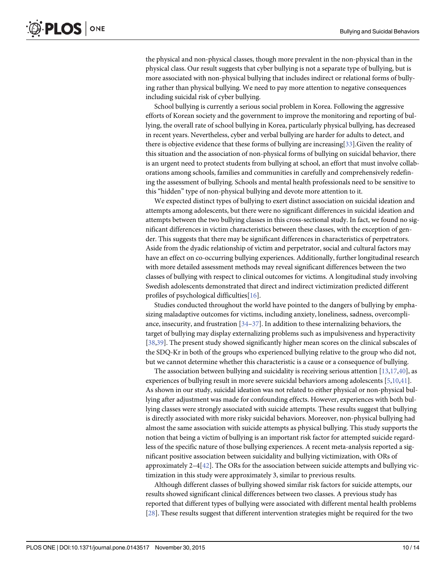<span id="page-9-0"></span>the physical and non-physical classes, though more prevalent in the non-physical than in the physical class. Our result suggests that cyber bullying is not a separate type of bullying, but is more associated with non-physical bullying that includes indirect or relational forms of bullying rather than physical bullying. We need to pay more attention to negative consequences including suicidal risk of cyber bullying.

School bullying is currently a serious social problem in Korea. Following the aggressive efforts of Korean society and the government to improve the monitoring and reporting of bullying, the overall rate of school bullying in Korea, particularly physical bullying, has decreased in recent years. Nevertheless, cyber and verbal bullying are harder for adults to detect, and there is objective evidence that these forms of bullying are increasing[\[33](#page-12-0)].Given the reality of this situation and the association of non-physical forms of bullying on suicidal behavior, there is an urgent need to protect students from bullying at school, an effort that must involve collaborations among schools, families and communities in carefully and comprehensively redefining the assessment of bullying. Schools and mental health professionals need to be sensitive to this "hidden" type of non-physical bullying and devote more attention to it.

We expected distinct types of bullying to exert distinct association on suicidal ideation and attempts among adolescents, but there were no significant differences in suicidal ideation and attempts between the two bullying classes in this cross-sectional study. In fact, we found no significant differences in victim characteristics between these classes, with the exception of gender. This suggests that there may be significant differences in characteristics of perpetrators. Aside from the dyadic relationship of victim and perpetrator, social and cultural factors may have an effect on co-occurring bullying experiences. Additionally, further longitudinal research with more detailed assessment methods may reveal significant differences between the two classes of bullying with respect to clinical outcomes for victims. A longitudinal study involving Swedish adolescents demonstrated that direct and indirect victimization predicted different profiles of psychological difficulties[[16\]](#page-12-0).

Studies conducted throughout the world have pointed to the dangers of bullying by emphasizing maladaptive outcomes for victims, including anxiety, loneliness, sadness, overcompliance, insecurity, and frustration  $[34-37]$  $[34-37]$  $[34-37]$ . In addition to these internalizing behaviors, the target of bullying may display externalizing problems such as impulsiveness and hyperactivity [\[38,39\]](#page-13-0). The present study showed significantly higher mean scores on the clinical subscales of the SDQ-Kr in both of the groups who experienced bullying relative to the group who did not, but we cannot determine whether this characteristic is a cause or a consequence of bullying.

The association between bullying and suicidality is receiving serious attention  $[13,17,40]$  $[13,17,40]$  $[13,17,40]$  $[13,17,40]$  $[13,17,40]$  $[13,17,40]$ , as experiences of bullying result in more severe suicidal behaviors among adolescents [\[5,10,](#page-11-0)[41\]](#page-13-0). As shown in our study, suicidal ideation was not related to either physical or non-physical bullying after adjustment was made for confounding effects. However, experiences with both bullying classes were strongly associated with suicide attempts. These results suggest that bullying is directly associated with more risky suicidal behaviors. Moreover, non-physical bullying had almost the same association with suicide attempts as physical bullying. This study supports the notion that being a victim of bullying is an important risk factor for attempted suicide regardless of the specific nature of those bullying experiences. A recent meta-analysis reported a significant positive association between suicidality and bullying victimization, with ORs of approximately 2–4[[42](#page-13-0)]. The ORs for the association between suicide attempts and bullying victimization in this study were approximately 3, similar to previous results.

Although different classes of bullying showed similar risk factors for suicide attempts, our results showed significant clinical differences between two classes. A previous study has reported that different types of bullying were associated with different mental health problems [\[28](#page-12-0)]. These results suggest that different intervention strategies might be required for the two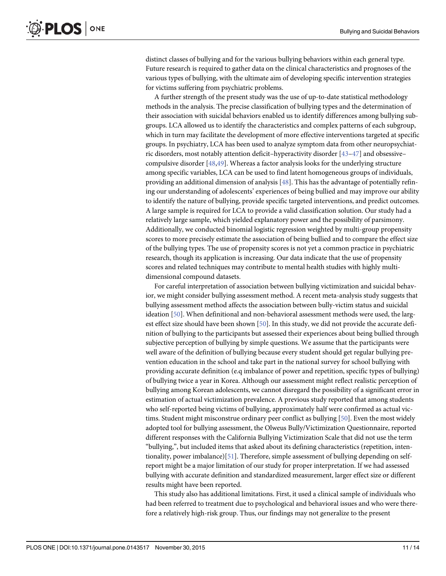<span id="page-10-0"></span>distinct classes of bullying and for the various bullying behaviors within each general type. Future research is required to gather data on the clinical characteristics and prognoses of the various types of bullying, with the ultimate aim of developing specific intervention strategies for victims suffering from psychiatric problems.

A further strength of the present study was the use of up-to-date statistical methodology methods in the analysis. The precise classification of bullying types and the determination of their association with suicidal behaviors enabled us to identify differences among bullying subgroups. LCA allowed us to identify the characteristics and complex patterns of each subgroup, which in turn may facilitate the development of more effective interventions targeted at specific groups. In psychiatry, LCA has been used to analyze symptom data from other neuropsychiatric disorders, most notably attention deficit–hyperactivity disorder [[43](#page-13-0)–[47](#page-13-0)] and obsessive– compulsive disorder  $[48,49]$ . Whereas a factor analysis looks for the underlying structure among specific variables, LCA can be used to find latent homogeneous groups of individuals, providing an additional dimension of analysis [\[48\]](#page-13-0). This has the advantage of potentially refining our understanding of adolescents' experiences of being bullied and may improve our ability to identify the nature of bullying, provide specific targeted interventions, and predict outcomes. A large sample is required for LCA to provide a valid classification solution. Our study had a relatively large sample, which yielded explanatory power and the possibility of parsimony. Additionally, we conducted binomial logistic regression weighted by multi-group propensity scores to more precisely estimate the association of being bullied and to compare the effect size of the bullying types. The use of propensity scores is not yet a common practice in psychiatric research, though its application is increasing. Our data indicate that the use of propensity scores and related techniques may contribute to mental health studies with highly multidimensional compound datasets.

For careful interpretation of association between bullying victimization and suicidal behavior, we might consider bullying assessment method. A recent meta-analysis study suggests that bullying assessment method affects the association between bully-victim status and suicidal ideation [\[50\]](#page-13-0). When definitional and non-behavioral assessment methods were used, the largest effect size should have been shown [[50\]](#page-13-0). In this study, we did not provide the accurate definition of bullying to the participants but assessed their experiences about being bullied through subjective perception of bullying by simple questions. We assume that the participants were well aware of the definition of bullying because every student should get regular bullying prevention education in the school and take part in the national survey for school bullying with providing accurate definition (e.q imbalance of power and repetition, specific types of bullying) of bullying twice a year in Korea. Although our assessment might reflect realistic perception of bullying among Korean adolescents, we cannot disregard the possibility of a significant error in estimation of actual victimization prevalence. A previous study reported that among students who self-reported being victims of bullying, approximately half were confirmed as actual victims. Student might misconstrue ordinary peer conflict as bullying [[50\]](#page-13-0). Even the most widely adopted tool for bullying assessment, the Olweus Bully/Victimization Questionnaire, reported different responses with the California Bullying Victimization Scale that did not use the term "bullying,", but included items that asked about its defining characteristics (repetition, intentionality, power imbalance)[\[51\]](#page-13-0). Therefore, simple assessment of bullying depending on selfreport might be a major limitation of our study for proper interpretation. If we had assessed bullying with accurate definition and standardized measurement, larger effect size or different results might have been reported.

This study also has additional limitations. First, it used a clinical sample of individuals who had been referred to treatment due to psychological and behavioral issues and who were therefore a relatively high-risk group. Thus, our findings may not generalize to the present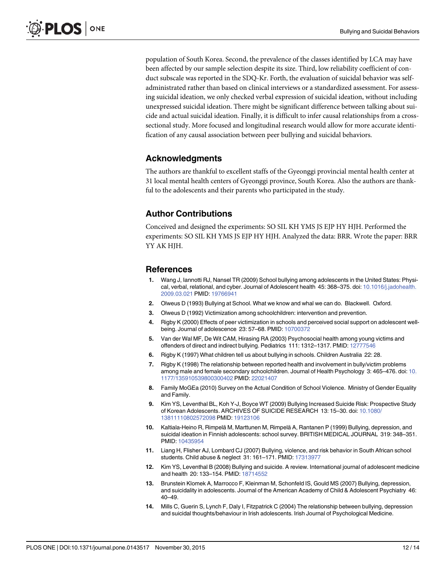<span id="page-11-0"></span>population of South Korea. Second, the prevalence of the classes identified by LCA may have been affected by our sample selection despite its size. Third, low reliability coefficient of conduct subscale was reported in the SDQ-Kr. Forth, the evaluation of suicidal behavior was selfadministrated rather than based on clinical interviews or a standardized assessment. For assessing suicidal ideation, we only checked verbal expression of suicidal ideation, without including unexpressed suicidal ideation. There might be significant difference between talking about suicide and actual suicidal ideation. Finally, it is difficult to infer causal relationships from a crosssectional study. More focused and longitudinal research would allow for more accurate identification of any causal association between peer bullying and suicidal behaviors.

#### Acknowledgments

The authors are thankful to excellent staffs of the Gyeonggi provincial mental health center at 31 local mental health centers of Gyeonggi province, South Korea. Also the authors are thankful to the adolescents and their parents who participated in the study.

### Author Contributions

Conceived and designed the experiments: SO SIL KH YMS JS EJP HY HJH. Performed the experiments: SO SIL KH YMS JS EJP HY HJH. Analyzed the data: BRR. Wrote the paper: BRR YY AK HJH.

#### References

- [1.](#page-1-0) Wang J, Iannotti RJ, Nansel TR (2009) School bullying among adolescents in the United States: Physi-cal, verbal, relational, and cyber. Journal of Adolescent health 45: 368-375. doi: [10.1016/j.jadohealth.](http://dx.doi.org/10.1016/j.jadohealth.2009.03.021) [2009.03.021](http://dx.doi.org/10.1016/j.jadohealth.2009.03.021) PMID: [19766941](http://www.ncbi.nlm.nih.gov/pubmed/19766941)
- [2.](#page-1-0) Olweus D (1993) Bullying at School. What we know and whal we can do. Blackwell. Oxford.
- [3.](#page-1-0) Olweus D (1992) Victimization among schoolchildren: intervention and prevention.
- [4.](#page-1-0) Rigby K (2000) Effects of peer victimization in schools and perceived social support on adolescent wellbeing. Journal of adolescence 23: 57–68. PMID: [10700372](http://www.ncbi.nlm.nih.gov/pubmed/10700372)
- [5.](#page-1-0) Van der Wal MF, De Wit CAM, Hirasing RA (2003) Psychosocial health among young victims and offenders of direct and indirect bullying. Pediatrics 111: 1312–1317. PMID: [12777546](http://www.ncbi.nlm.nih.gov/pubmed/12777546)
- [6.](#page-1-0) Rigby K (1997) What children tell us about bullying in schools. Children Australia 22: 28.
- [7.](#page-1-0) Rigby K (1998) The relationship between reported health and involvement in bully/victim problems among male and female secondary schoolchildren. Journal of Health Psychology 3: 465–476. doi: [10.](http://dx.doi.org/10.1177/135910539800300402) [1177/135910539800300402](http://dx.doi.org/10.1177/135910539800300402) PMID: [22021407](http://www.ncbi.nlm.nih.gov/pubmed/22021407)
- [8.](#page-1-0) Family MoGEa (2010) Survey on the Actual Condition of School Violence. Ministry of Gender Equality and Family.
- [9.](#page-1-0) Kim YS, Leventhal BL, Koh Y-J, Boyce WT (2009) Bullying Increased Suicide Risk: Prospective Study of Korean Adolescents. ARCHIVES OF SUICIDE RESEARCH 13: 15–30. doi: [10.1080/](http://dx.doi.org/10.1080/13811110802572098) [13811110802572098](http://dx.doi.org/10.1080/13811110802572098) PMID: [19123106](http://www.ncbi.nlm.nih.gov/pubmed/19123106)
- [10.](#page-9-0) Kaltiala-Heino R, Rimpelä M, Marttunen M, Rimpelä A, Rantanen P (1999) Bullying, depression, and suicidal ideation in Finnish adolescents: school survey. BRITISH MEDICAL JOURNAL 319: 348–351. PMID: [10435954](http://www.ncbi.nlm.nih.gov/pubmed/10435954)
- [11.](#page-1-0) Liang H, Flisher AJ, Lombard CJ (2007) Bullying, violence, and risk behavior in South African school students. Child abuse & neglect 31: 161-171. PMID: [17313977](http://www.ncbi.nlm.nih.gov/pubmed/17313977)
- [12.](#page-1-0) Kim YS, Leventhal B (2008) Bullying and suicide. A review. International journal of adolescent medicine and health 20: 133–154. PMID: [18714552](http://www.ncbi.nlm.nih.gov/pubmed/18714552)
- [13.](#page-1-0) Brunstein Klomek A, Marrocco F, Kleinman M, Schonfeld IS, Gould MS (2007) Bullying, depression, and suicidality in adolescents. Journal of the American Academy of Child & Adolescent Psychiatry 46: 40–49.
- [14.](#page-1-0) Mills C, Guerin S, Lynch F, Daly I, Fitzpatrick C (2004) The relationship between bullying, depression and suicidal thoughts/behaviour in Irish adolescents. Irish Journal of Psychological Medicine.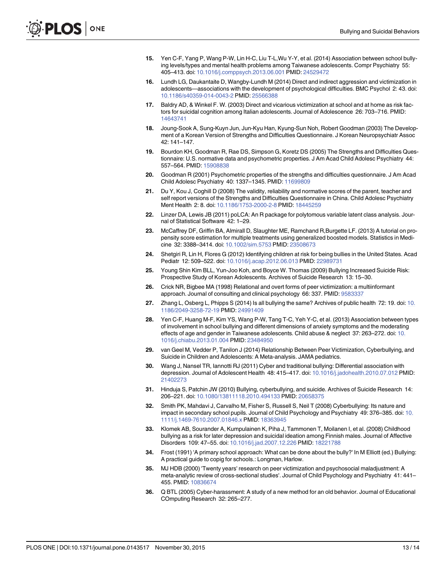- <span id="page-12-0"></span>[15.](#page-1-0) Yen C-F, Yang P, Wang P-W, Lin H-C, Liu T-L,Wu Y-Y, et al. (2014) Association between school bullying levels/types and mental health problems among Taiwanese adolescents. Compr Psychiatry 55: 405–413. doi: [10.1016/j.comppsych.2013.06.001](http://dx.doi.org/10.1016/j.comppsych.2013.06.001) PMID: [24529472](http://www.ncbi.nlm.nih.gov/pubmed/24529472)
- [16.](#page-9-0) Lundh LG, Daukantaite D, Wangby-Lundh M (2014) Direct and indirect aggression and victimization in adolescents—associations with the development of psychological difficulties. BMC Psychol 2: 43. doi: [10.1186/s40359-014-0043-2](http://dx.doi.org/10.1186/s40359-014-0043-2) PMID: [25566388](http://www.ncbi.nlm.nih.gov/pubmed/25566388)
- [17.](#page-1-0) Baldry AD, & Winkel F. W. (2003) Direct and vicarious victimization at school and at home as risk factors for suicidal cognition among Italian adolescents. Journal of Adolescence 26: 703–716. PMID: [14643741](http://www.ncbi.nlm.nih.gov/pubmed/14643741)
- [18.](#page-3-0) Joung-Sook A, Sung-Kuyn Jun, Jun-Kyu Han, Kyung-Sun Noh, Robert Goodman (2003) The Development of a Korean Version of Strengths and Difficulties Questionnaire. J Korean Neuropsychiatr Assoc 42: 141–147.
- [19.](#page-3-0) Bourdon KH, Goodman R, Rae DS, Simpson G, Koretz DS (2005) The Strengths and Difficulties Questionnaire: U.S. normative data and psychometric properties. J Am Acad Child Adolesc Psychiatry 44: 557–564. PMID: [15908838](http://www.ncbi.nlm.nih.gov/pubmed/15908838)
- [20.](#page-3-0) Goodman R (2001) Psychometric properties of the strengths and difficulties questionnaire. J Am Acad Child Adolesc Psychiatry 40: 1337–1345. PMID: [11699809](http://www.ncbi.nlm.nih.gov/pubmed/11699809)
- [21.](#page-3-0) Du Y, Kou J, Coghill D (2008) The validity, reliability and normative scores of the parent, teacher and self report versions of the Strengths and Difficulties Questionnaire in China. Child Adolesc Psychiatry Ment Health 2: 8. doi: [10.1186/1753-2000-2-8](http://dx.doi.org/10.1186/1753-2000-2-8) PMID: [18445259](http://www.ncbi.nlm.nih.gov/pubmed/18445259)
- [22.](#page-3-0) Linzer DA, Lewis JB (2011) poLCA: An R package for polytomous variable latent class analysis. Journal of Statistical Software 42: 1–29.
- [23.](#page-3-0) McCaffrey DF, Griffin BA, Almirall D, Slaughter ME, Ramchand R, Burgette LF. (2013) A tutorial on propensity score estimation for multiple treatments using generalized boosted models. Statistics in Medicine 32: 3388–3414. doi: [10.1002/sim.5753](http://dx.doi.org/10.1002/sim.5753) PMID: [23508673](http://www.ncbi.nlm.nih.gov/pubmed/23508673)
- [24.](#page-8-0) Shetgiri R, Lin H, Flores G (2012) Identifying children at risk for being bullies in the United States. Acad Pediatr 12: 509–522. doi: [10.1016/j.acap.2012.06.013](http://dx.doi.org/10.1016/j.acap.2012.06.013) PMID: [22989731](http://www.ncbi.nlm.nih.gov/pubmed/22989731)
- [25.](#page-8-0) Young Shin Kim BLL, Yun-Joo Koh, and Boyce W. Thomas (2009) Bullying Increased Suicide Risk: Prospective Study of Korean Adolescents. Archives of Suicide Research 13: 15–30.
- [26.](#page-8-0) Crick NR, Bigbee MA (1998) Relational and overt forms of peer victimization: a multiinformant approach. Journal of consulting and clinical psychology 66: 337. PMID: [9583337](http://www.ncbi.nlm.nih.gov/pubmed/9583337)
- [27.](#page-8-0) Zhang L, Osberg L, Phipps S (2014) Is all bullying the same? Archives of public health 72: 19. doi: [10.](http://dx.doi.org/10.1186/2049-3258-72-19) [1186/2049-3258-72-19](http://dx.doi.org/10.1186/2049-3258-72-19) PMID: [24991409](http://www.ncbi.nlm.nih.gov/pubmed/24991409)
- [28.](#page-8-0) Yen C-F, Huang M-F, Kim YS, Wang P-W, Tang T-C, Yeh Y-C, et al. (2013) Association between types of involvement in school bullying and different dimensions of anxiety symptoms and the moderating effects of age and gender in Taiwanese adolescents. Child abuse & neglect 37: 263–272. doi: [10.](http://dx.doi.org/10.1016/j.chiabu.2013.01.004) [1016/j.chiabu.2013.01.004](http://dx.doi.org/10.1016/j.chiabu.2013.01.004) PMID: [23484950](http://www.ncbi.nlm.nih.gov/pubmed/23484950)
- [29.](#page-8-0) van Geel M, Vedder P, Tanilon J (2014) Relationship Between Peer Victimization, Cyberbullying, and Suicide in Children and Adolescents: A Meta-analysis. JAMA pediatrics.
- [30.](#page-8-0) Wang J, Nansel TR, Iannotti RJ (2011) Cyber and traditional bullying: Differential association with depression. Journal of Adolescent Health 48: 415–417. doi: [10.1016/j.jadohealth.2010.07.012](http://dx.doi.org/10.1016/j.jadohealth.2010.07.012) PMID: [21402273](http://www.ncbi.nlm.nih.gov/pubmed/21402273)
- [31.](#page-8-0) Hinduja S, Patchin JW (2010) Bullying, cyberbullying, and suicide. Archives of Suicide Research 14: 206–221. doi: [10.1080/13811118.2010.494133](http://dx.doi.org/10.1080/13811118.2010.494133) PMID: [20658375](http://www.ncbi.nlm.nih.gov/pubmed/20658375)
- [32.](#page-8-0) Smith PK, Mahdavi J, Carvalho M, Fisher S, Russell S, Neil T (2008) Cyberbullying: Its nature and impact in secondary school pupils. Journal of Child Psychology and Psychiatry 49: 376–385. doi: [10.](http://dx.doi.org/10.1111/j.1469-7610.2007.01846.x) [1111/j.1469-7610.2007.01846.x](http://dx.doi.org/10.1111/j.1469-7610.2007.01846.x) PMID: [18363945](http://www.ncbi.nlm.nih.gov/pubmed/18363945)
- [33.](#page-9-0) Klomek AB, Sourander A, Kumpulainen K, Piha J, Tammonen T, Moilanen I, et al. (2008) Childhood bullying as a risk for later depression and suicidal ideation among Finnish males. Journal of Affective Disorders 109: 47–55. doi: [10.1016/j.jad.2007.12.226](http://dx.doi.org/10.1016/j.jad.2007.12.226) PMID: [18221788](http://www.ncbi.nlm.nih.gov/pubmed/18221788)
- [34.](#page-9-0) Frost (1991) 'A primary school approach: What can be done about the bully?' In M Elliott (ed.) Bullying: A practical guide to copig for schools.: Longman, Harlow.
- 35. MJ HDB (2000) 'Twenty years' research on peer victimization and psychosocial maladjustment: A meta-analytic review of cross-sectional studies'. Journal of Child Psychology and Psychiatry 41: 441– 455. PMID: [10836674](http://www.ncbi.nlm.nih.gov/pubmed/10836674)
- 36. Q BTL (2005) Cyber-harassment: A study of a new method for an old behavior. Journal of Educational COmputing Research 32: 265–277.